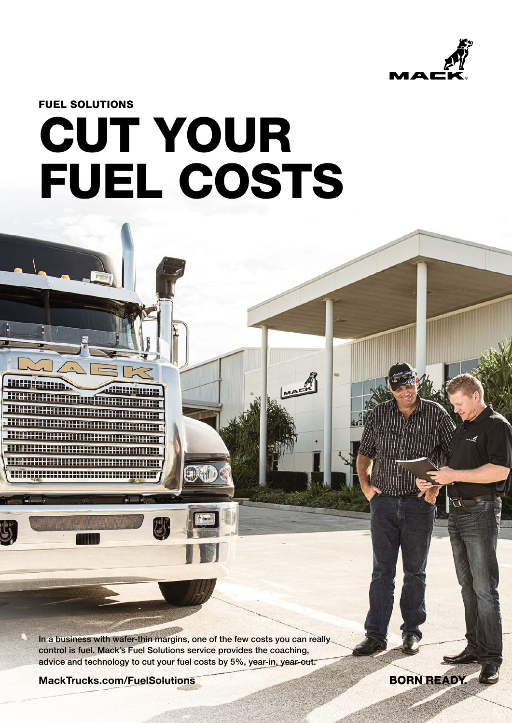

**BORN READY** 

FUEL SOLUTIONS

# CUT YOUR FUEL COSTS

MAE

In a business with wafer-thin margins, one of the few costs you can really control is fuel. Mack's Fuel Solutions service provides the coaching, advice and technology to cut your fuel costs by 5%, year-in, year-out.

MackTrucks.com/FuelSolutions